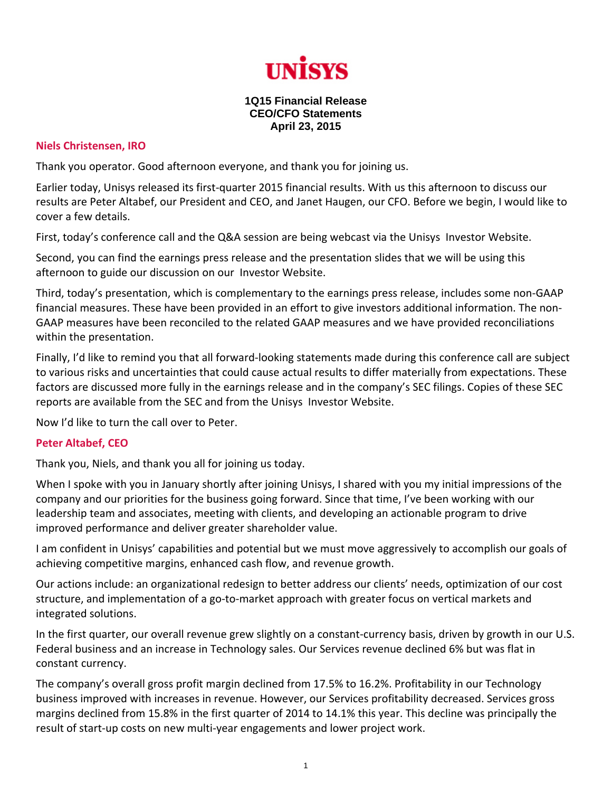

## **1Q15 Financial Release CEO/CFO Statements April 23, 2015**

## **Niels Christensen, IRO**

Thank you operator. Good afternoon everyone, and thank you for joining us.

Earlier today, Unisys released its first‐quarter 2015 financial results. With us this afternoon to discuss our results are Peter Altabef, our President and CEO, and Janet Haugen, our CFO. Before we begin, I would like to cover a few details.

First, today's conference call and the Q&A session are being webcast via the Unisys Investor Website.

Second, you can find the earnings press release and the presentation slides that we will be using this afternoon to guide our discussion on our Investor Website.

Third, today's presentation, which is complementary to the earnings press release, includes some non‐GAAP financial measures. These have been provided in an effort to give investors additional information. The non‐ GAAP measures have been reconciled to the related GAAP measures and we have provided reconciliations within the presentation.

Finally, I'd like to remind you that all forward-looking statements made during this conference call are subject to various risks and uncertainties that could cause actual results to differ materially from expectations. These factors are discussed more fully in the earnings release and in the company's SEC filings. Copies of these SEC reports are available from the SEC and from the Unisys Investor Website.

Now I'd like to turn the call over to Peter.

## **Peter Altabef, CEO**

Thank you, Niels, and thank you all for joining us today.

When I spoke with you in January shortly after joining Unisys, I shared with you my initial impressions of the company and our priorities for the business going forward. Since that time, I've been working with our leadership team and associates, meeting with clients, and developing an actionable program to drive improved performance and deliver greater shareholder value.

I am confident in Unisys' capabilities and potential but we must move aggressively to accomplish our goals of achieving competitive margins, enhanced cash flow, and revenue growth.

Our actions include: an organizational redesign to better address our clients' needs, optimization of our cost structure, and implementation of a go-to-market approach with greater focus on vertical markets and integrated solutions.

In the first quarter, our overall revenue grew slightly on a constant-currency basis, driven by growth in our U.S. Federal business and an increase in Technology sales. Our Services revenue declined 6% but was flat in constant currency.

The company's overall gross profit margin declined from 17.5% to 16.2%. Profitability in our Technology business improved with increases in revenue. However, our Services profitability decreased. Services gross margins declined from 15.8% in the first quarter of 2014 to 14.1% this year. This decline was principally the result of start‐up costs on new multi‐year engagements and lower project work.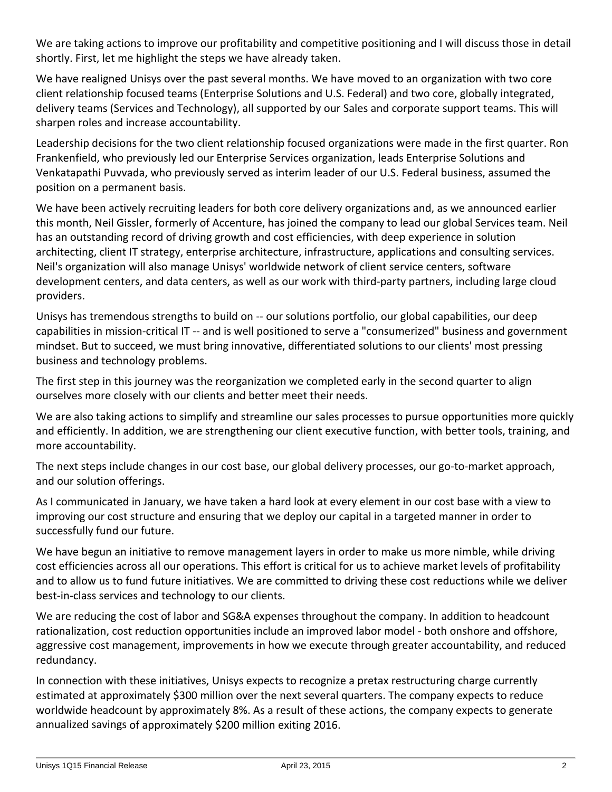We are taking actions to improve our profitability and competitive positioning and I will discuss those in detail shortly. First, let me highlight the steps we have already taken.

We have realigned Unisys over the past several months. We have moved to an organization with two core client relationship focused teams (Enterprise Solutions and U.S. Federal) and two core, globally integrated, delivery teams (Services and Technology), all supported by our Sales and corporate support teams. This will sharpen roles and increase accountability.

Leadership decisions for the two client relationship focused organizations were made in the first quarter. Ron Frankenfield, who previously led our Enterprise Services organization, leads Enterprise Solutions and Venkatapathi Puvvada, who previously served as interim leader of our U.S. Federal business, assumed the position on a permanent basis.

We have been actively recruiting leaders for both core delivery organizations and, as we announced earlier this month, Neil Gissler, formerly of Accenture, has joined the company to lead our global Services team. Neil has an outstanding record of driving growth and cost efficiencies, with deep experience in solution architecting, client IT strategy, enterprise architecture, infrastructure, applications and consulting services. Neil's organization will also manage Unisys' worldwide network of client service centers, software development centers, and data centers, as well as our work with third‐party partners, including large cloud providers.

Unisys has tremendous strengths to build on ‐‐ our solutions portfolio, our global capabilities, our deep capabilities in mission‐critical IT ‐‐ and is well positioned to serve a "consumerized" business and government mindset. But to succeed, we must bring innovative, differentiated solutions to our clients' most pressing business and technology problems.

The first step in this journey was the reorganization we completed early in the second quarter to align ourselves more closely with our clients and better meet their needs.

We are also taking actions to simplify and streamline our sales processes to pursue opportunities more quickly and efficiently. In addition, we are strengthening our client executive function, with better tools, training, and more accountability.

The next steps include changes in our cost base, our global delivery processes, our go-to-market approach, and our solution offerings.

As I communicated in January, we have taken a hard look at every element in our cost base with a view to improving our cost structure and ensuring that we deploy our capital in a targeted manner in order to successfully fund our future.

We have begun an initiative to remove management layers in order to make us more nimble, while driving cost efficiencies across all our operations. This effort is critical for us to achieve market levels of profitability and to allow us to fund future initiatives. We are committed to driving these cost reductions while we deliver best-in-class services and technology to our clients.

We are reducing the cost of labor and SG&A expenses throughout the company. In addition to headcount rationalization, cost reduction opportunities include an improved labor model ‐ both onshore and offshore, aggressive cost management, improvements in how we execute through greater accountability, and reduced redundancy.

In connection with these initiatives, Unisys expects to recognize a pretax restructuring charge currently estimated at approximately \$300 million over the next several quarters. The company expects to reduce worldwide headcount by approximately 8%. As a result of these actions, the company expects to generate annualized savings of approximately \$200 million exiting 2016.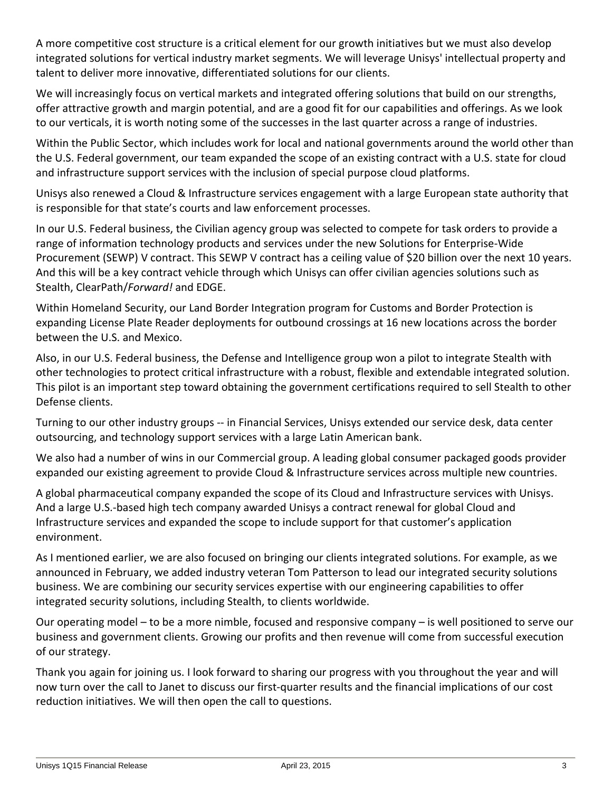A more competitive cost structure is a critical element for our growth initiatives but we must also develop integrated solutions for vertical industry market segments. We will leverage Unisys' intellectual property and talent to deliver more innovative, differentiated solutions for our clients.

We will increasingly focus on vertical markets and integrated offering solutions that build on our strengths, offer attractive growth and margin potential, and are a good fit for our capabilities and offerings. As we look to our verticals, it is worth noting some of the successes in the last quarter across a range of industries.

Within the Public Sector, which includes work for local and national governments around the world other than the U.S. Federal government, our team expanded the scope of an existing contract with a U.S. state for cloud and infrastructure support services with the inclusion of special purpose cloud platforms.

Unisys also renewed a Cloud & Infrastructure services engagement with a large European state authority that is responsible for that state's courts and law enforcement processes.

In our U.S. Federal business, the Civilian agency group was selected to compete for task orders to provide a range of information technology products and services under the new Solutions for Enterprise‐Wide Procurement (SEWP) V contract. This SEWP V contract has a ceiling value of \$20 billion over the next 10 years. And this will be a key contract vehicle through which Unisys can offer civilian agencies solutions such as Stealth, ClearPath/*Forward!* and EDGE.

Within Homeland Security, our Land Border Integration program for Customs and Border Protection is expanding License Plate Reader deployments for outbound crossings at 16 new locations across the border between the U.S. and Mexico.

Also, in our U.S. Federal business, the Defense and Intelligence group won a pilot to integrate Stealth with other technologies to protect critical infrastructure with a robust, flexible and extendable integrated solution. This pilot is an important step toward obtaining the government certifications required to sell Stealth to other Defense clients.

Turning to our other industry groups ‐‐ in Financial Services, Unisys extended our service desk, data center outsourcing, and technology support services with a large Latin American bank.

We also had a number of wins in our Commercial group. A leading global consumer packaged goods provider expanded our existing agreement to provide Cloud & Infrastructure services across multiple new countries.

A global pharmaceutical company expanded the scope of its Cloud and Infrastructure services with Unisys. And a large U.S.‐based high tech company awarded Unisys a contract renewal for global Cloud and Infrastructure services and expanded the scope to include support for that customer's application environment.

As I mentioned earlier, we are also focused on bringing our clients integrated solutions. For example, as we announced in February, we added industry veteran Tom Patterson to lead our integrated security solutions business. We are combining our security services expertise with our engineering capabilities to offer integrated security solutions, including Stealth, to clients worldwide.

Our operating model – to be a more nimble, focused and responsive company – is well positioned to serve our business and government clients. Growing our profits and then revenue will come from successful execution of our strategy.

Thank you again for joining us. I look forward to sharing our progress with you throughout the year and will now turn over the call to Janet to discuss our first‐quarter results and the financial implications of our cost reduction initiatives. We will then open the call to questions.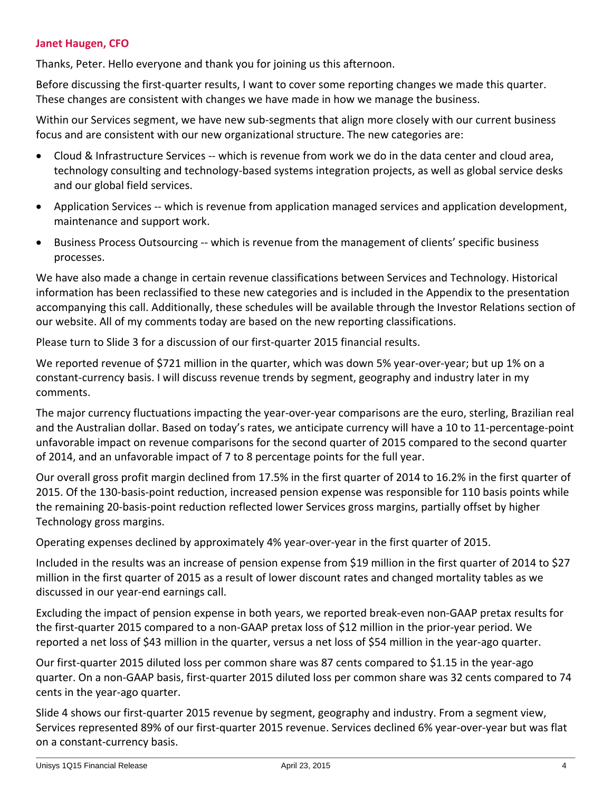## **Janet Haugen, CFO**

Thanks, Peter. Hello everyone and thank you for joining us this afternoon.

Before discussing the first-quarter results, I want to cover some reporting changes we made this quarter. These changes are consistent with changes we have made in how we manage the business.

Within our Services segment, we have new sub-segments that align more closely with our current business focus and are consistent with our new organizational structure. The new categories are:

- Cloud & Infrastructure Services -- which is revenue from work we do in the data center and cloud area, technology consulting and technology‐based systems integration projects, as well as global service desks and our global field services.
- Application Services ‐‐ which is revenue from application managed services and application development, maintenance and support work.
- Business Process Outsourcing -- which is revenue from the management of clients' specific business processes.

We have also made a change in certain revenue classifications between Services and Technology. Historical information has been reclassified to these new categories and is included in the Appendix to the presentation accompanying this call. Additionally, these schedules will be available through the Investor Relations section of our website. All of my comments today are based on the new reporting classifications.

Please turn to Slide 3 for a discussion of our first‐quarter 2015 financial results.

We reported revenue of \$721 million in the quarter, which was down 5% year-over-year; but up 1% on a constant-currency basis. I will discuss revenue trends by segment, geography and industry later in my comments.

The major currency fluctuations impacting the year-over-year comparisons are the euro, sterling, Brazilian real and the Australian dollar. Based on today's rates, we anticipate currency will have a 10 to 11‐percentage‐point unfavorable impact on revenue comparisons for the second quarter of 2015 compared to the second quarter of 2014, and an unfavorable impact of 7 to 8 percentage points for the full year.

Our overall gross profit margin declined from 17.5% in the first quarter of 2014 to 16.2% in the first quarter of 2015. Of the 130‐basis‐point reduction, increased pension expense was responsible for 110 basis points while the remaining 20‐basis‐point reduction reflected lower Services gross margins, partially offset by higher Technology gross margins.

Operating expenses declined by approximately 4% year‐over‐year in the first quarter of 2015.

Included in the results was an increase of pension expense from \$19 million in the first quarter of 2014 to \$27 million in the first quarter of 2015 as a result of lower discount rates and changed mortality tables as we discussed in our year‐end earnings call.

Excluding the impact of pension expense in both years, we reported break‐even non‐GAAP pretax results for the first-quarter 2015 compared to a non-GAAP pretax loss of \$12 million in the prior-year period. We reported a net loss of \$43 million in the quarter, versus a net loss of \$54 million in the year‐ago quarter.

Our first-quarter 2015 diluted loss per common share was 87 cents compared to \$1.15 in the year-ago quarter. On a non‐GAAP basis, first‐quarter 2015 diluted loss per common share was 32 cents compared to 74 cents in the year‐ago quarter.

Slide 4 shows our first‐quarter 2015 revenue by segment, geography and industry. From a segment view, Services represented 89% of our first‐quarter 2015 revenue. Services declined 6% year‐over‐year but was flat on a constant‐currency basis.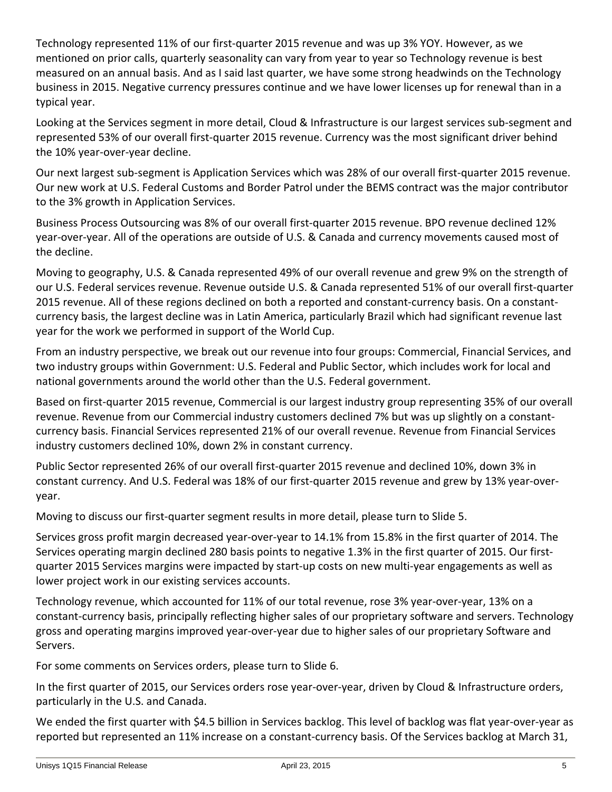Technology represented 11% of our first‐quarter 2015 revenue and was up 3% YOY. However, as we mentioned on prior calls, quarterly seasonality can vary from year to year so Technology revenue is best measured on an annual basis. And as I said last quarter, we have some strong headwinds on the Technology business in 2015. Negative currency pressures continue and we have lower licenses up for renewal than in a typical year.

Looking at the Services segment in more detail, Cloud & Infrastructure is our largest services sub‐segment and represented 53% of our overall first-quarter 2015 revenue. Currency was the most significant driver behind the 10% year‐over‐year decline.

Our next largest sub-segment is Application Services which was 28% of our overall first-quarter 2015 revenue. Our new work at U.S. Federal Customs and Border Patrol under the BEMS contract was the major contributor to the 3% growth in Application Services.

Business Process Outsourcing was 8% of our overall first-quarter 2015 revenue. BPO revenue declined 12% year‐over‐year. All of the operations are outside of U.S. & Canada and currency movements caused most of the decline.

Moving to geography, U.S. & Canada represented 49% of our overall revenue and grew 9% on the strength of our U.S. Federal services revenue. Revenue outside U.S. & Canada represented 51% of our overall first-quarter 2015 revenue. All of these regions declined on both a reported and constant‐currency basis. On a constant‐ currency basis, the largest decline was in Latin America, particularly Brazil which had significant revenue last year for the work we performed in support of the World Cup.

From an industry perspective, we break out our revenue into four groups: Commercial, Financial Services, and two industry groups within Government: U.S. Federal and Public Sector, which includes work for local and national governments around the world other than the U.S. Federal government.

Based on first‐quarter 2015 revenue, Commercial is our largest industry group representing 35% of our overall revenue. Revenue from our Commercial industry customers declined 7% but was up slightly on a constant‐ currency basis. Financial Services represented 21% of our overall revenue. Revenue from Financial Services industry customers declined 10%, down 2% in constant currency.

Public Sector represented 26% of our overall first-quarter 2015 revenue and declined 10%, down 3% in constant currency. And U.S. Federal was 18% of our first-quarter 2015 revenue and grew by 13% year-overyear.

Moving to discuss our first-quarter segment results in more detail, please turn to Slide 5.

Services gross profit margin decreased year‐over‐year to 14.1% from 15.8% in the first quarter of 2014. The Services operating margin declined 280 basis points to negative 1.3% in the first quarter of 2015. Our first‐ quarter 2015 Services margins were impacted by start‐up costs on new multi‐year engagements as well as lower project work in our existing services accounts.

Technology revenue, which accounted for 11% of our total revenue, rose 3% year‐over‐year, 13% on a constant‐currency basis, principally reflecting higher sales of our proprietary software and servers. Technology gross and operating margins improved year‐over‐year due to higher sales of our proprietary Software and Servers.

For some comments on Services orders, please turn to Slide 6.

In the first quarter of 2015, our Services orders rose year‐over‐year, driven by Cloud & Infrastructure orders, particularly in the U.S. and Canada.

We ended the first quarter with \$4.5 billion in Services backlog. This level of backlog was flat year-over-year as reported but represented an 11% increase on a constant‐currency basis. Of the Services backlog at March 31,